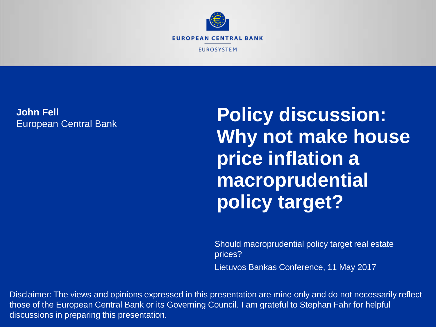

#### **John Fell** European Central Bank

**Policy discussion: Why not make house price inflation a macroprudential policy target?**

Should macroprudential policy target real estate prices? Lietuvos Bankas Conference, 11 May 2017

Disclaimer: The views and opinions expressed in this presentation are mine only and do not necessarily reflect those of the European Central Bank or its Governing Council. I am grateful to Stephan Fahr for helpful discussions in preparing this presentation.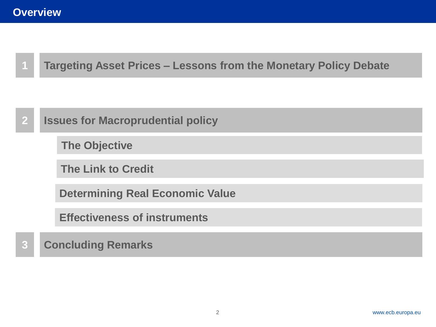

**Targeting Asset Prices – Lessons from the Monetary Policy Debate**



**Effectiveness of instruments** 

#### **3 Concluding Remarks**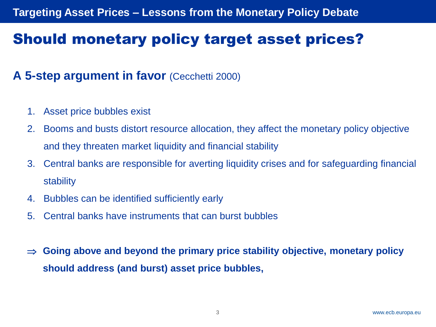# Should monetary policy target asset prices?

### **A 5-step argument in favor** (Cecchetti 2000)

- 1. Asset price bubbles exist
- 2. Booms and busts distort resource allocation, they affect the monetary policy objective and they threaten market liquidity and financial stability
- 3. Central banks are responsible for averting liquidity crises and for safeguarding financial stability
- 4. Bubbles can be identified sufficiently early
- 5. Central banks have instruments that can burst bubbles
- **Going above and beyond the primary price stability objective, monetary policy should address (and burst) asset price bubbles,**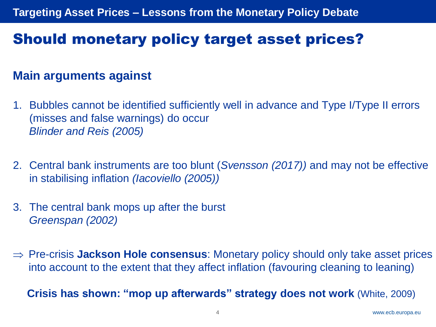# Should monetary policy target asset prices?

### **Main arguments against**

- 1. Bubbles cannot be identified sufficiently well in advance and Type I/Type II errors (misses and false warnings) do occur *Blinder and Reis (2005)*
- 2. Central bank instruments are too blunt (*Svensson (2017))* and may not be effective in stabilising inflation *(Iacoviello (2005))*
- 3. The central bank mops up after the burst *Greenspan (2002)*
- Pre-crisis **Jackson Hole consensus**: Monetary policy should only take asset prices into account to the extent that they affect inflation (favouring cleaning to leaning)

**Crisis has shown: "mop up afterwards" strategy does not work** (White, 2009)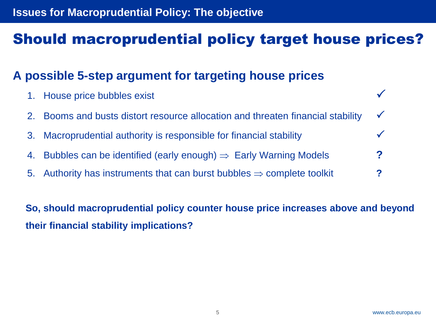#### **Issues for Macroprudential Policy: The objective**

### Should macroprudential policy target house prices?

### **A possible 5-step argument for targeting house prices**

| 1. House price bubbles exist                                                       |            |
|------------------------------------------------------------------------------------|------------|
| 2. Booms and busts distort resource allocation and threaten financial stability    | $\sqrt{ }$ |
| 3. Macroprudential authority is responsible for financial stability                |            |
| 4. Bubbles can be identified (early enough) $\Rightarrow$ Early Warning Models     | 2          |
| 5. Authority has instruments that can burst bubbles $\Rightarrow$ complete toolkit |            |
|                                                                                    |            |

**So, should macroprudential policy counter house price increases above and beyond their financial stability implications?**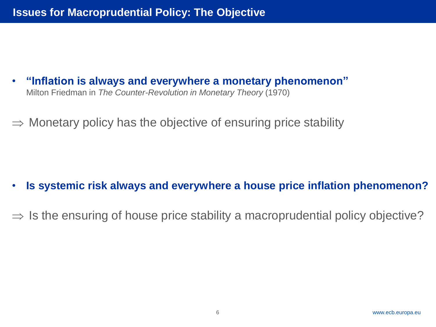- **"Inflation is always and everywhere a monetary phenomenon"** Milton Friedman in *The Counter-Revolution in Monetary Theory* (1970)
- $\Rightarrow$  Monetary policy has the objective of ensuring price stability

- **Is systemic risk always and everywhere a house price inflation phenomenon?**
- $\Rightarrow$  Is the ensuring of house price stability a macroprudential policy objective?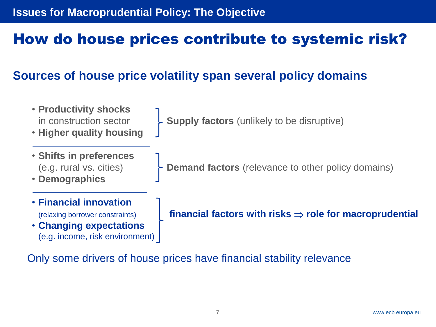# How do house prices contribute to systemic risk?

### **Sources of house price volatility span several policy domains**

- **Productivity shocks**
- **Higher quality housing**
- in construction sector  $\begin{bmatrix} \cdot & \cdot \\ \cdot & \cdot \end{bmatrix}$  **Supply factors** (unlikely to be disruptive)
- **Shifts in preferences**
- **Demographics**
- **Financial innovation**
- **Changing expectations** (e.g. income, risk environment)

(e.g. rural vs. cities) **Demand factors** (relevance to other policy domains)

(relaxing borrower constraints) **financial factors with risks**  $\Rightarrow$  **role for macroprudential** 

Only some drivers of house prices have financial stability relevance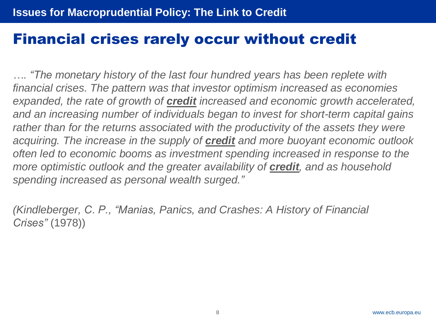### Financial crises rarely occur without credit

*…. "The monetary history of the last four hundred years has been replete with financial crises. The pattern was that investor optimism increased as economies expanded, the rate of growth of credit increased and economic growth accelerated, and an increasing number of individuals began to invest for short-term capital gains rather than for the returns associated with the productivity of the assets they were acquiring. The increase in the supply of credit and more buoyant economic outlook often led to economic booms as investment spending increased in response to the more optimistic outlook and the greater availability of credit, and as household spending increased as personal wealth surged."*

*(Kindleberger, C. P., "Manias, Panics, and Crashes: A History of Financial Crises"* (1978))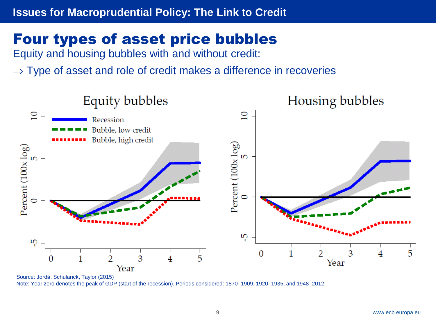# Four types of asset price bubbles

Equity and housing bubbles with and without credit:

 $\Rightarrow$  Type of asset and role of credit makes a difference in recoveries



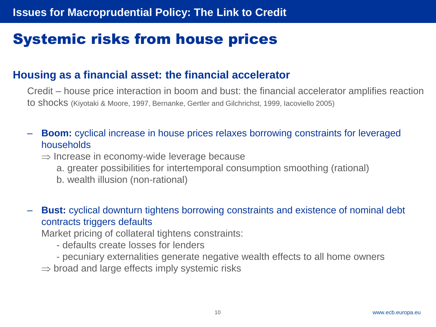# Systemic risks from house prices

#### **Housing as a financial asset: the financial accelerator**

Credit – house price interaction in boom and bust: the financial accelerator amplifies reaction to shocks (Kiyotaki & Moore, 1997, Bernanke, Gertler and Gilchrichst, 1999, Iacoviello 2005)

- **Boom:** cyclical increase in house prices relaxes borrowing constraints for leveraged households
	- $\Rightarrow$  Increase in economy-wide leverage because
		- a. greater possibilities for intertemporal consumption smoothing (rational)
		- b. wealth illusion (non-rational)
- **Bust:** cyclical downturn tightens borrowing constraints and existence of nominal debt contracts triggers defaults

Market pricing of collateral tightens constraints:

- defaults create losses for lenders
- pecuniary externalities generate negative wealth effects to all home owners

 $\Rightarrow$  broad and large effects imply systemic risks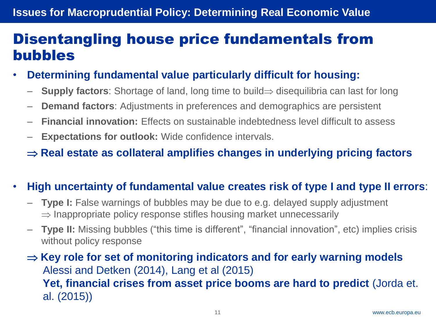### Disentangling house price fundamentals from bubbles

- **Determining fundamental value particularly difficult for housing:** 
	- $-$  **Supply factors**: Shortage of land, long time to build  $\Rightarrow$  disequilibria can last for long
	- **Demand factors**: Adjustments in preferences and demographics are persistent
	- **Financial innovation:** Effects on sustainable indebtedness level difficult to assess
	- **Expectations for outlook:** Wide confidence intervals.

 $\Rightarrow$  **Real estate as collateral amplifies changes in underlying pricing factors** 

#### • **High uncertainty of fundamental value creates risk of type I and type II errors**:

- **Type I:** False warnings of bubbles may be due to e.g. delayed supply adjustment  $\Rightarrow$  Inappropriate policy response stifles housing market unnecessarily
- **Type II:** Missing bubbles ("this time is different", "financial innovation", etc) implies crisis without policy response

 $\Rightarrow$  **Key role for set of monitoring indicators and for early warning models** Alessi and Detken (2014), Lang et al (2015) **Yet, financial crises from asset price booms are hard to predict** (Jorda et. al. (2015))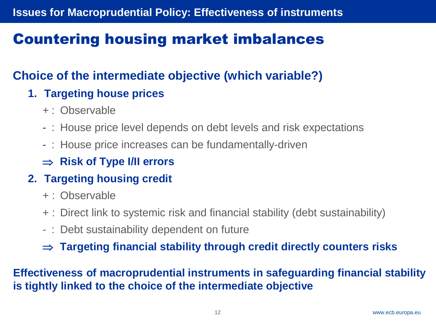# Countering housing market imbalances

### **Choice of the intermediate objective (which variable?)**

### **1. Targeting house prices**

- + : Observable
- : House price level depends on debt levels and risk expectations
- : House price increases can be fundamentally-driven
- $\Rightarrow$  **Risk of Type I/II errors**

### **2. Targeting housing credit**

- + : Observable
- + : Direct link to systemic risk and financial stability (debt sustainability)
- : Debt sustainability dependent on future
- **Targeting financial stability through credit directly counters risks**

**Effectiveness of macroprudential instruments in safeguarding financial stability is tightly linked to the choice of the intermediate objective**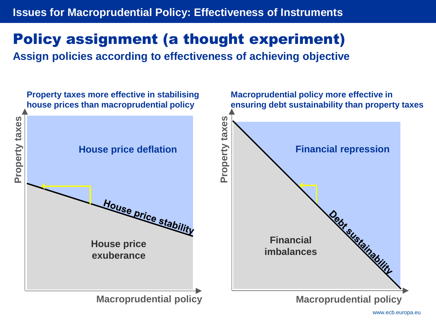#### **Issues for Macroprudential Policy: Effectiveness of Instruments**

# Policy assignment (a thought experiment)

**Assign policies according to effectiveness of achieving objective**

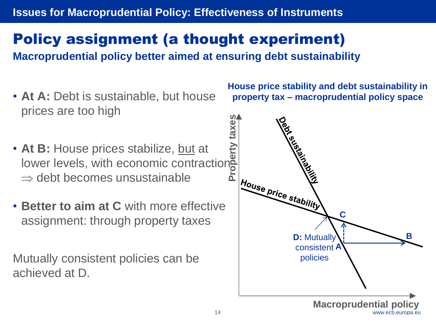### **Issues for Macroprudential Policy: Effectiveness of Instruments**

# Policy assignment (a thought experiment)

**Macroprudential policy better aimed at ensuring debt sustainability** 

- **At A:** Debt is sustainable, but house prices are too high
- At B: House prices stabilize, but at lower levels, with economic contractions  $\Rightarrow$  debt becomes unsustainable
- **Better to aim at C** with more effective assignment: through property taxes

Mutually consistent policies can be achieved at D.

**House price stability and debt sustainability in property tax – macroprudential policy space**

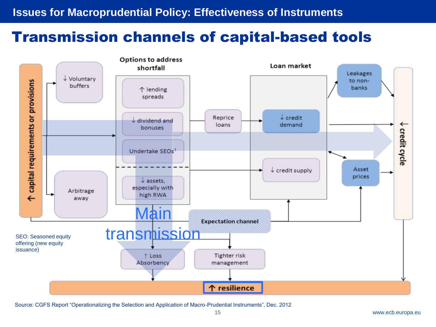### Transmission channels of capital-based tools



Source: CGFS Report "Operationalizing the Selection and Application of Macro-Prudential Instruments", Dec. 2012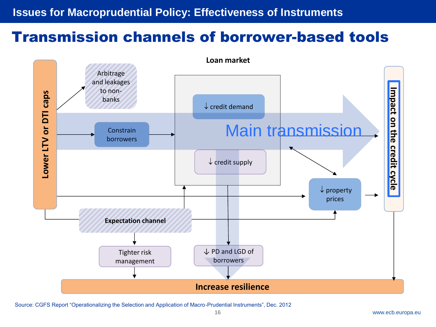### Transmission channels of borrower-based tools



Source: CGFS Report "Operationalizing the Selection and Application of Macro-Prudential Instruments", Dec. 2012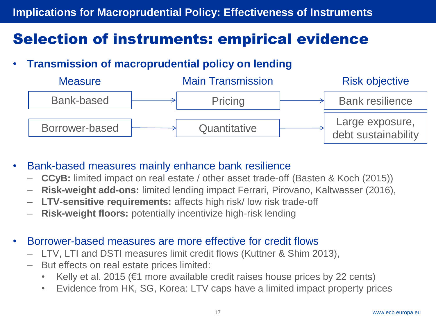# Selection of instruments: empirical evidence

• **Transmission of macroprudential policy on lending**



- Bank-based measures mainly enhance bank resilience
	- **CCyB:** limited impact on real estate / other asset trade-off (Basten & Koch (2015))
	- **Risk-weight add-ons:** limited lending impact Ferrari, Pirovano, Kaltwasser (2016),
	- **LTV-sensitive requirements:** affects high risk/ low risk trade-off
	- **Risk-weight floors:** potentially incentivize high-risk lending
- Borrower-based measures are more effective for credit flows
	- LTV, LTI and DSTI measures limit credit flows (Kuttner & Shim 2013),
	- But effects on real estate prices limited:
		- Kelly et al. 2015 ( $\epsilon$ 1 more available credit raises house prices by 22 cents)
		- Evidence from HK, SG, Korea: LTV caps have a limited impact property prices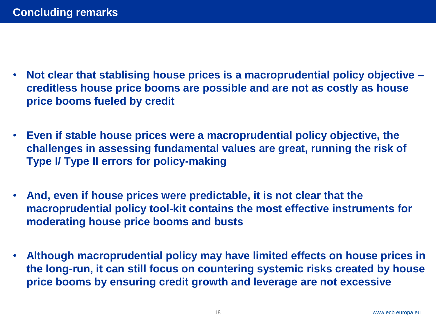- **Not clear that stablising house prices is a macroprudential policy objective – creditless house price booms are possible and are not as costly as house price booms fueled by credit**
- **Even if stable house prices were a macroprudential policy objective, the challenges in assessing fundamental values are great, running the risk of Type I/ Type II errors for policy-making**
- **And, even if house prices were predictable, it is not clear that the macroprudential policy tool-kit contains the most effective instruments for moderating house price booms and busts**
- **Although macroprudential policy may have limited effects on house prices in the long-run, it can still focus on countering systemic risks created by house price booms by ensuring credit growth and leverage are not excessive**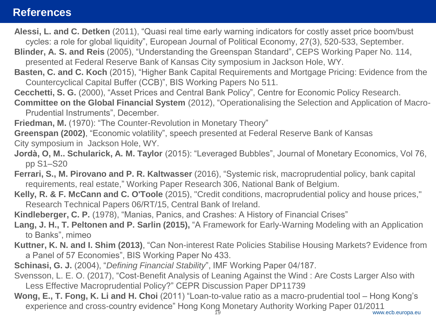#### **References**

- **Alessi, L. and C. Detken** (2011), "Quasi real time early warning indicators for costly asset price boom/bust cycles: a role for global liquidity", European Journal of Political Economy, 27(3), 520-533, September.
- **Blinder, A. S. and Reis** (2005), "Understanding the Greenspan Standard", CEPS Working Paper No. 114, presented at Federal Reserve Bank of Kansas City symposium in Jackson Hole, WY.
- **Basten, C. and C. Koch** (2015), "Higher Bank Capital Requirements and Mortgage Pricing: Evidence from the Countercyclical Capital Buffer (CCB)", BIS Working Papers No 511.
- **Cecchetti, S. G.** (2000), "Asset Prices and Central Bank Policy", Centre for Economic Policy Research.

**Committee on the Global Financial System** (2012), "Operationalising the Selection and Application of Macro-Prudential Instruments", December.

**Friedman, M.** (1970): "The Counter-Revolution in Monetary Theory"

**Greenspan (2002)**, "Economic volatility", speech presented at Federal Reserve Bank of Kansas City symposium in Jackson Hole, WY.

- **Jordà, O, M.. Schularick, A. M. Taylor** (2015): "Leveraged Bubbles", Journal of Monetary Economics, Vol 76, pp S1–S20
- **Ferrari, S., M. Pirovano and P. R. Kaltwasser** (2016), "Systemic risk, macroprudential policy, bank capital requirements, real estate," Working Paper Research 306, National Bank of Belgium.
- **Kelly, R. & F. McCann and C. O'Toole** (2015), "Credit conditions, macroprudential policy and house prices," Research Technical Papers 06/RT/15, Central Bank of Ireland.

**Kindleberger, C. P.** (1978), "Manias, Panics, and Crashes: A History of Financial Crises"

- **Lang, J. H., T. Peltonen and P. Sarlin (2015),** "A Framework for Early-Warning Modeling with an Application to Banks", mimeo
- **Kuttner, K. N. and I. Shim (2013)**, "Can Non-interest Rate Policies Stabilise Housing Markets? Evidence from a Panel of 57 Economies", BIS Working Paper No 433.
- **Schinasi, G. J.** (2004), "*Defining Financial Stability*", IMF Working Paper 04/187.
- Svensson, L. E. O. (2017), "Cost-Benefit Analysis of Leaning Against the Wind : Are Costs Larger Also with Less Effective Macroprudential Policy?" CEPR Discussion Paper DP11739
- **Wong, E., T. Fong, K. Li and H. Choi** (2011) "Loan-to-value ratio as a macro-prudential tool Hong Kong's experience and cross-country evidence" Hong Kong Monetary Authority Working Paper 01/2011 19